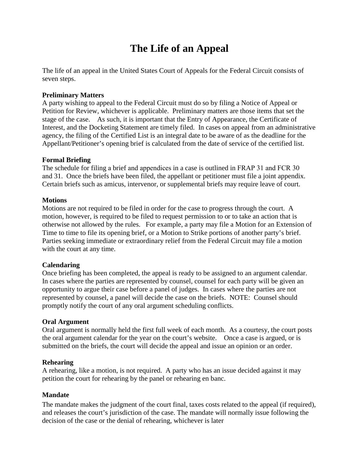# **The Life of an Appeal**

The life of an appeal in the United States Court of Appeals for the Federal Circuit consists of seven steps.

#### **Preliminary Matters**

A party wishing to appeal to the Federal Circuit must do so by filing a Notice of Appeal or Petition for Review, whichever is applicable. Preliminary matters are those items that set the stage of the case. As such, it is important that the Entry of Appearance, the Certificate of Interest, and the Docketing Statement are timely filed. In cases on appeal from an administrative agency, the filing of the Certified List is an integral date to be aware of as the deadline for the Appellant/Petitioner's opening brief is calculated from the date of service of the certified list.

#### **Formal Briefing**

The schedule for filing a brief and appendices in a case is outlined in FRAP 31 and FCR 30 and 31. Once the briefs have been filed, the appellant or petitioner must file a joint appendix. Certain briefs such as amicus, intervenor, or supplemental briefs may require leave of court.

#### **Motions**

Motions are not required to be filed in order for the case to progress through the court. A motion, however, is required to be filed to request permission to or to take an action that is otherwise not allowed by the rules. For example, a party may file a Motion for an Extension of Time to time to file its opening brief, or a Motion to Strike portions of another party's brief. Parties seeking immediate or extraordinary relief from the Federal Circuit may file a motion with the court at any time.

# **Calendaring**

Once briefing has been completed, the appeal is ready to be assigned to an argument calendar. In cases where the parties are represented by counsel, counsel for each party will be given an opportunity to argue their case before a panel of judges. In cases where the parties are not represented by counsel, a panel will decide the case on the briefs. NOTE: Counsel should promptly notify the court of any oral argument scheduling conflicts.

# **Oral Argument**

Oral argument is normally held the first full week of each month. As a courtesy, the court posts the oral argument calendar for the year on the court's website. Once a case is argued, or is submitted on the briefs, the court will decide the appeal and issue an opinion or an order.

# **Rehearing**

A rehearing, like a motion, is not required. A party who has an issue decided against it may petition the court for rehearing by the panel or rehearing en banc.

# **Mandate**

The mandate makes the judgment of the court final, taxes costs related to the appeal (if required), and releases the court's jurisdiction of the case. The mandate will normally issue following the decision of the case or the denial of rehearing, whichever is later